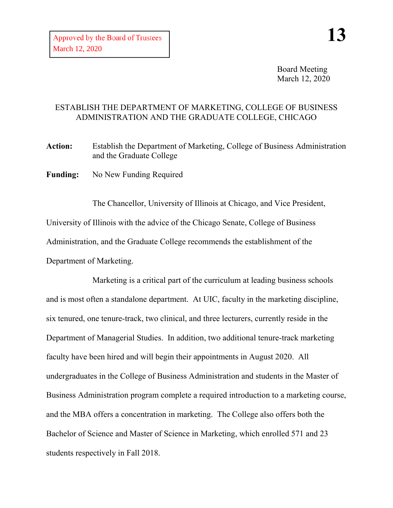Board Meeting March 12, 2020

## ESTABLISH THE DEPARTMENT OF MARKETING, COLLEGE OF BUSINESS ADMINISTRATION AND THE GRADUATE COLLEGE, CHICAGO

**Action:** Establish the Department of Marketing, College of Business Administration and the Graduate College

**Funding:** No New Funding Required

The Chancellor, University of Illinois at Chicago, and Vice President, University of Illinois with the advice of the Chicago Senate, College of Business Administration, and the Graduate College recommends the establishment of the Department of Marketing.

Marketing is a critical part of the curriculum at leading business schools and is most often a standalone department. At UIC, faculty in the marketing discipline, six tenured, one tenure-track, two clinical, and three lecturers, currently reside in the Department of Managerial Studies. In addition, two additional tenure-track marketing faculty have been hired and will begin their appointments in August 2020. All undergraduates in the College of Business Administration and students in the Master of Business Administration program complete a required introduction to a marketing course, and the MBA offers a concentration in marketing. The College also offers both the Bachelor of Science and Master of Science in Marketing, which enrolled 571 and 23 students respectively in Fall 2018.